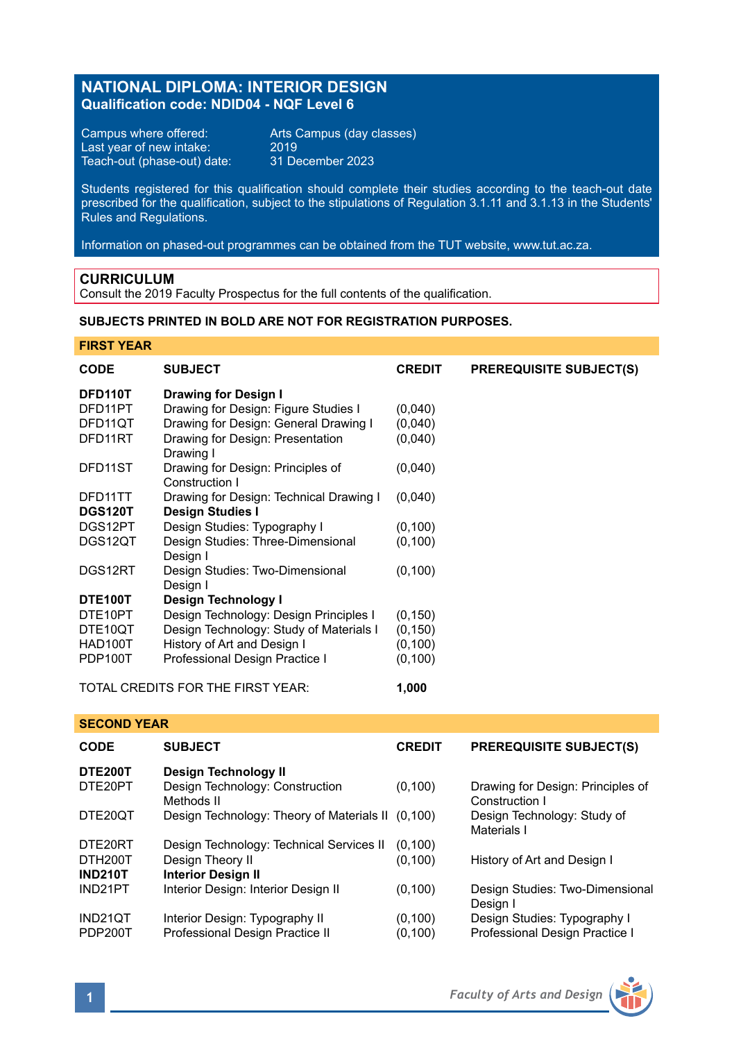# **NATIONAL DIPLOMA: INTERIOR DESIGN Qualification code: NDID04 - NQF Level 6**

Campus where offered: Arts Campus (day classes)<br>Last year of new intake: 2019 Last year of new intake: 2019 Teach-out (phase-out) date: 31 December 2023

Students registered for this qualification should complete their studies according to the teach-out date prescribed for the qualification, subject to the stipulations of Regulation 3.1.11 and 3.1.13 in the Students' Rules and Regulations.

Information on phased-out programmes can be obtained from the TUT website, www.tut.ac.za.

# **CURRICULUM**

Consult the 2019 Faculty Prospectus for the full contents of the qualification.

# **SUBJECTS PRINTED IN BOLD ARE NOT FOR REGISTRATION PURPOSES.**

**FIRST YEAR**

| <b>CODE</b>               | <b>SUBJECT</b>                                          | <b>CREDIT</b> | <b>PREREQUISITE SUBJECT(S)</b>    |  |
|---------------------------|---------------------------------------------------------|---------------|-----------------------------------|--|
| DFD110T                   | Drawing for Design I                                    |               |                                   |  |
| DFD11PT                   | Drawing for Design: Figure Studies I                    | (0.040)       |                                   |  |
| DFD11QT                   | Drawing for Design: General Drawing I                   | (0,040)       |                                   |  |
| DFD11RT                   | Drawing for Design: Presentation<br>Drawing I           | (0,040)       |                                   |  |
| DFD11ST                   | Drawing for Design: Principles of                       | (0,040)       |                                   |  |
|                           | Construction I                                          |               |                                   |  |
| DFD11TT                   | Drawing for Design: Technical Drawing I                 | (0,040)       |                                   |  |
| <b>DGS120T</b>            | Design Studies I                                        |               |                                   |  |
| DGS12PT                   | Design Studies: Typography I                            | (0, 100)      |                                   |  |
| DGS12QT                   | Design Studies: Three-Dimensional<br>Design I           | (0, 100)      |                                   |  |
| DGS12RT                   | Design Studies: Two-Dimensional                         | (0, 100)      |                                   |  |
|                           | Design I                                                |               |                                   |  |
| DTE100T                   | Design Technology I                                     |               |                                   |  |
| DTE10PT                   | Design Technology: Design Principles I                  | (0, 150)      |                                   |  |
| DTE10QT                   | Design Technology: Study of Materials I                 | (0, 150)      |                                   |  |
| HAD100T                   | History of Art and Design I                             | (0, 100)      |                                   |  |
| PDP100T                   | Professional Design Practice I                          | (0, 100)      |                                   |  |
|                           | TOTAL CREDITS FOR THE FIRST YEAR:                       | 1,000         |                                   |  |
| <b>SECOND YEAR</b>        |                                                         |               |                                   |  |
| <b>CODE</b>               | <b>SUBJECT</b>                                          | <b>CREDIT</b> | <b>PREREQUISITE SUBJECT(S)</b>    |  |
| <b>DTE200T</b><br>DTE20PT | Design Technology II<br>Design Technology: Construction | (0, 100)      | Drawing for Design: Principles of |  |

|                | Methods II                                        |          | Construction I                              |
|----------------|---------------------------------------------------|----------|---------------------------------------------|
| DTE20QT        | Design Technology: Theory of Materials II (0,100) |          | Design Technology: Study of<br>Materials I  |
| DTE20RT        | Design Technology: Technical Services II          | (0.100)  |                                             |
| DTH200T        | Design Theory II                                  | (0, 100) | History of Art and Design I                 |
| <b>IND210T</b> | <b>Interior Design II</b>                         |          |                                             |
| IND21PT        | Interior Design: Interior Design II               | (0, 100) | Design Studies: Two-Dimensional<br>Desian I |
| IND21QT        | Interior Design: Typography II                    | (0, 100) | Design Studies: Typography I                |
| PDP200T        | Professional Design Practice II                   | (0, 100) | Professional Design Practice I              |
|                |                                                   |          |                                             |

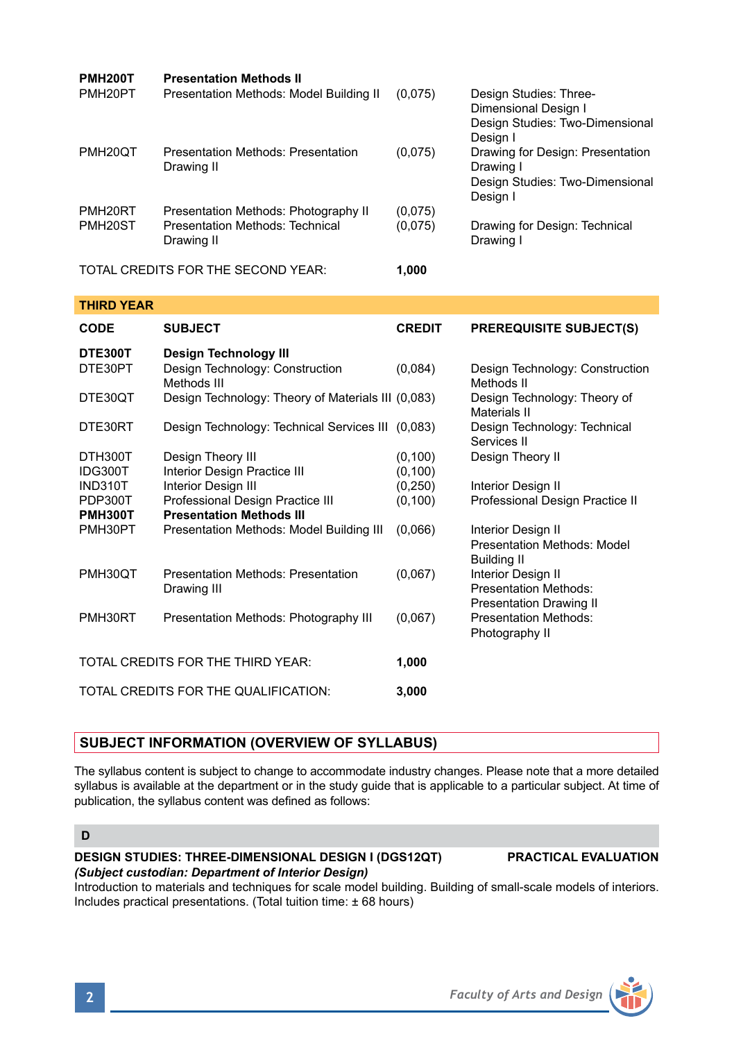| <b>PMH200T</b>                              | <b>Presentation Methods II</b>                                                        |                    |                                                                                               |
|---------------------------------------------|---------------------------------------------------------------------------------------|--------------------|-----------------------------------------------------------------------------------------------|
| PMH <sub>20</sub> PT                        | Presentation Methods: Model Building II                                               | (0,075)            | Design Studies: Three-<br>Dimensional Design I<br>Design Studies: Two-Dimensional<br>Desian I |
| PMH <sub>20</sub> QT                        | Presentation Methods: Presentation<br>Drawing II                                      | (0.075)            | Drawing for Design: Presentation<br>Drawing I<br>Design Studies: Two-Dimensional<br>Desian I  |
| PMH <sub>20RT</sub><br>PMH <sub>20</sub> ST | Presentation Methods: Photography II<br>Presentation Methods: Technical<br>Drawing II | (0,075)<br>(0,075) | Drawing for Design: Technical<br>Drawing I                                                    |
| TOTAL CREDITS FOR THE SECOND YEAR:          |                                                                                       | 1.000              |                                                                                               |

### **THIRD YEAR**

| <b>CODE</b>                       | <b>SUBJECT</b>                                     | <b>CREDIT</b> | <b>PREREQUISITE SUBJECT(S)</b>                    |
|-----------------------------------|----------------------------------------------------|---------------|---------------------------------------------------|
| DTE300T                           | Design Technology III                              |               |                                                   |
| DTE30PT                           | Design Technology: Construction<br>Methods III     | (0,084)       | Design Technology: Construction<br>Methods II     |
| DTE30OT                           | Design Technology: Theory of Materials III (0,083) |               | Design Technology: Theory of<br>Materials II      |
| DTE30RT                           | Design Technology: Technical Services III (0,083)  |               | Design Technology: Technical<br>Services II       |
| DTH300T                           | Design Theory III                                  | (0, 100)      | Design Theory II                                  |
| IDG300T                           | Interior Design Practice III                       | (0,100)       |                                                   |
| <b>IND310T</b>                    | Interior Design III                                | (0, 250)      | Interior Design II                                |
| PDP300T                           | Professional Design Practice III                   | (0, 100)      | Professional Design Practice II                   |
| <b>PMH300T</b>                    | <b>Presentation Methods III</b>                    |               |                                                   |
| PMH30PT                           | Presentation Methods: Model Building III           | (0.066)       | Interior Design II                                |
|                                   |                                                    |               | Presentation Methods: Model<br><b>Building II</b> |
| PMH30QT                           | Presentation Methods: Presentation                 | (0,067)       | Interior Design II                                |
|                                   | Drawing III                                        |               | <b>Presentation Methods:</b>                      |
|                                   |                                                    |               | <b>Presentation Drawing II</b>                    |
| PMH30RT                           | Presentation Methods: Photography III              | (0,067)       | Presentation Methods:<br>Photography II           |
| TOTAL CREDITS FOR THE THIRD YEAR: |                                                    | 1,000         |                                                   |
|                                   | TOTAL CREDITS FOR THE QUALIFICATION:               | 3,000         |                                                   |

## **SUBJECT INFORMATION (OVERVIEW OF SYLLABUS)**

The syllabus content is subject to change to accommodate industry changes. Please note that a more detailed syllabus is available at the department or in the study guide that is applicable to a particular subject. At time of publication, the syllabus content was defined as follows:

# **D**

### **DESIGN STUDIES: THREE-DIMENSIONAL DESIGN I (DGS12QT) PRACTICAL EVALUATION** *(Subject custodian: Department of Interior Design)*

Introduction to materials and techniques for scale model building. Building of small-scale models of interiors. Includes practical presentations. (Total tuition time: ± 68 hours)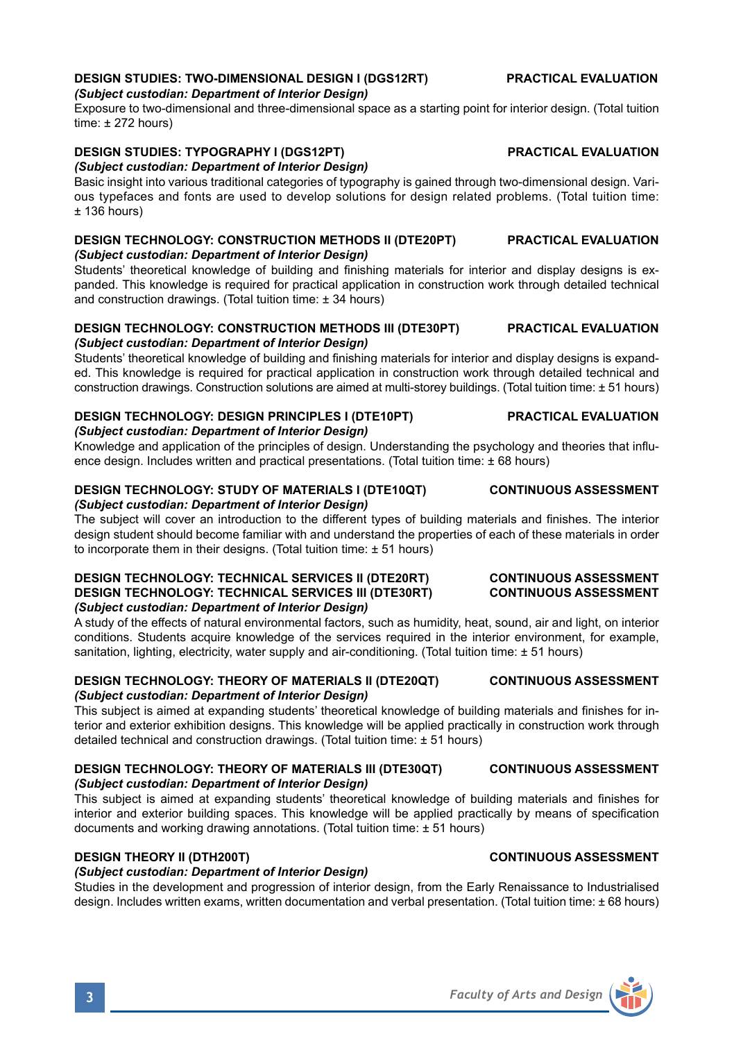# *(Subject custodian: Department of Interior Design)*

Exposure to two-dimensional and three-dimensional space as a starting point for interior design. (Total tuition time: ± 272 hours)

# **DESIGN STUDIES: TYPOGRAPHY I (DGS12PT) PRACTICAL EVALUATION**

*(Subject custodian: Department of Interior Design)* Basic insight into various traditional categories of typography is gained through two-dimensional design. Various typefaces and fonts are used to develop solutions for design related problems. (Total tuition time:  $+ 136$  hours)

### **DESIGN TECHNOLOGY: CONSTRUCTION METHODS II (DTE20PT) PRACTICAL EVALUATION** *(Subject custodian: Department of Interior Design)*

Students' theoretical knowledge of building and finishing materials for interior and display designs is expanded. This knowledge is required for practical application in construction work through detailed technical and construction drawings. (Total tuition time: ± 34 hours)

### **DESIGN TECHNOLOGY: CONSTRUCTION METHODS III (DTE30PT) PRACTICAL EVALUATION** *(Subject custodian: Department of Interior Design)*

Students' theoretical knowledge of building and finishing materials for interior and display designs is expanded. This knowledge is required for practical application in construction work through detailed technical and construction drawings. Construction solutions are aimed at multi-storey buildings. (Total tuition time: ± 51 hours)

### **DESIGN TECHNOLOGY: DESIGN PRINCIPLES I (DTE10PT) PRACTICAL EVALUATION** *(Subject custodian: Department of Interior Design)*

Knowledge and application of the principles of design. Understanding the psychology and theories that influence design. Includes written and practical presentations. (Total tuition time: ± 68 hours)

### **DESIGN TECHNOLOGY: STUDY OF MATERIALS I (DTE10QT) CONTINUOUS ASSESSMENT** *(Subject custodian: Department of Interior Design)*

The subject will cover an introduction to the different types of building materials and finishes. The interior design student should become familiar with and understand the properties of each of these materials in order to incorporate them in their designs. (Total tuition time: ± 51 hours)

### **DESIGN TECHNOLOGY: TECHNICAL SERVICES II (DTE20RT) CONTINUOUS ASSESSMENT DESIGN TECHNOLOGY: TECHNICAL SERVICES III (DTE30RT)** *(Subject custodian: Department of Interior Design)*

A study of the effects of natural environmental factors, such as humidity, heat, sound, air and light, on interior conditions. Students acquire knowledge of the services required in the interior environment, for example, sanitation, lighting, electricity, water supply and air-conditioning. (Total tuition time: ± 51 hours)

### **DESIGN TECHNOLOGY: THEORY OF MATERIALS II (DTE20QT) CONTINUOUS ASSESSMENT** *(Subject custodian: Department of Interior Design)*

This subject is aimed at expanding students' theoretical knowledge of building materials and finishes for interior and exterior exhibition designs. This knowledge will be applied practically in construction work through detailed technical and construction drawings. (Total tuition time: ± 51 hours)

### **DESIGN TECHNOLOGY: THEORY OF MATERIALS III (DTE30QT) CONTINUOUS ASSESSMENT** *(Subject custodian: Department of Interior Design)*

This subject is aimed at expanding students' theoretical knowledge of building materials and finishes for interior and exterior building spaces. This knowledge will be applied practically by means of specification documents and working drawing annotations. (Total tuition time: ± 51 hours)

# **DESIGN THEORY II (DTH200T) CONTINUOUS ASSESSMENT**

# *(Subject custodian: Department of Interior Design)*

Studies in the development and progression of interior design, from the Early Renaissance to Industrialised design. Includes written exams, written documentation and verbal presentation. (Total tuition time: ± 68 hours)

# **DESIGN STUDIES: TWO-DIMENSIONAL DESIGN I (DGS12RT) PRACTICAL EVALUATION**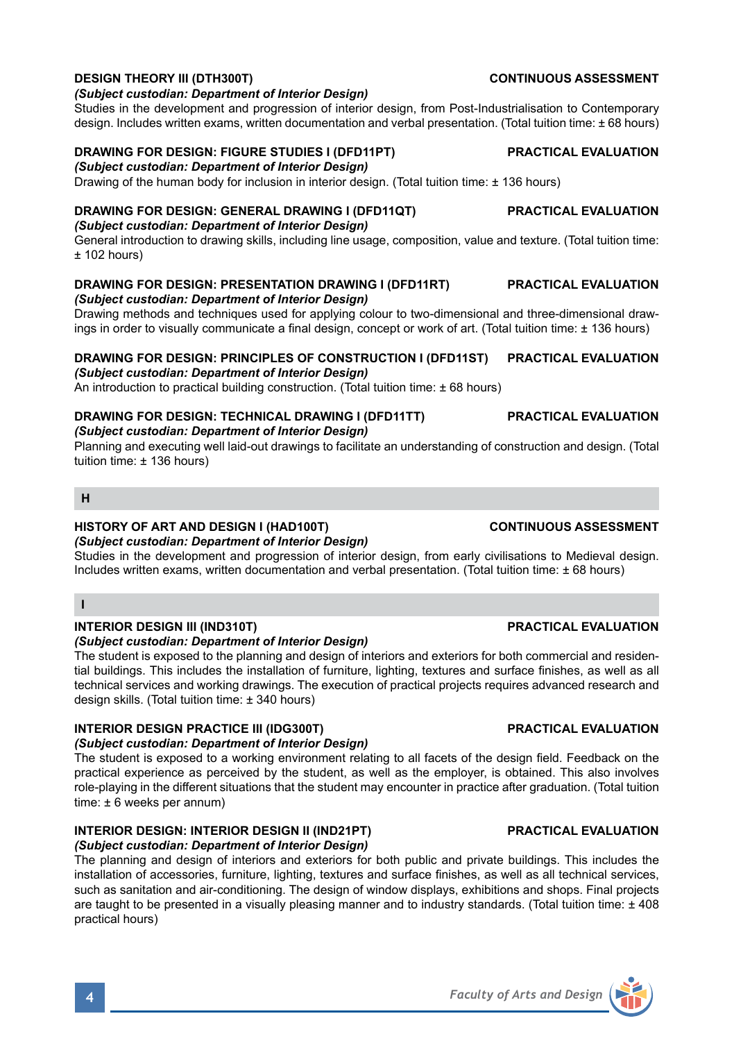### **DESIGN THEORY III (DTH300T) CONTINUOUS ASSESSMENT** *(Subject custodian: Department of Interior Design)*

Studies in the development and progression of interior design, from Post-Industrialisation to Contemporary design. Includes written exams, written documentation and verbal presentation. (Total tuition time: ± 68 hours)

# **DRAWING FOR DESIGN: FIGURE STUDIES I (DFD11PT) PRACTICAL EVALUATION**

*(Subject custodian: Department of Interior Design)*

Drawing of the human body for inclusion in interior design. (Total tuition time: ± 136 hours)

# **DRAWING FOR DESIGN: GENERAL DRAWING I (DFD11QT) PRACTICAL EVALUATION**

## *(Subject custodian: Department of Interior Design)*

General introduction to drawing skills, including line usage, composition, value and texture. (Total tuition time:  $±$  102 hours)

# **DRAWING FOR DESIGN: PRESENTATION DRAWING I (DFD11RT) PRACTICAL EVALUATION**

*(Subject custodian: Department of Interior Design)*

Drawing methods and techniques used for applying colour to two-dimensional and three-dimensional drawings in order to visually communicate a final design, concept or work of art. (Total tuition time: ± 136 hours)

# **DRAWING FOR DESIGN: PRINCIPLES OF CONSTRUCTION I (DFD11ST) PRACTICAL EVALUATION**

## *(Subject custodian: Department of Interior Design)*

An introduction to practical building construction. (Total tuition time: ± 68 hours)

# **DRAWING FOR DESIGN: TECHNICAL DRAWING I (DFD11TT) PRACTICAL EVALUATION**

# *(Subject custodian: Department of Interior Design)*

Planning and executing well laid-out drawings to facilitate an understanding of construction and design. (Total tuition time: ± 136 hours)

### **H**

# **HISTORY OF ART AND DESIGN I (HAD100T) CONTINUOUS ASSESSMENT**

*(Subject custodian: Department of Interior Design)* Studies in the development and progression of interior design, from early civilisations to Medieval design. Includes written exams, written documentation and verbal presentation. (Total tuition time: ± 68 hours)

### **I**

### **INTERIOR DESIGN III (IND310T) PRACTICAL EVALUATION** *(Subject custodian: Department of Interior Design)*

The student is exposed to the planning and design of interiors and exteriors for both commercial and residential buildings. This includes the installation of furniture, lighting, textures and surface finishes, as well as all technical services and working drawings. The execution of practical projects requires advanced research and design skills. (Total tuition time: ± 340 hours)

# **INTERIOR DESIGN PRACTICE III (IDG300T) PRACTICAL EVALUATION**

### *(Subject custodian: Department of Interior Design)*

The student is exposed to a working environment relating to all facets of the design field. Feedback on the practical experience as perceived by the student, as well as the employer, is obtained. This also involves role-playing in the different situations that the student may encounter in practice after graduation. (Total tuition time: ± 6 weeks per annum)

# **INTERIOR DESIGN: INTERIOR DESIGN II (IND21PT) PRACTICAL EVALUATION**

### *(Subject custodian: Department of Interior Design)*

The planning and design of interiors and exteriors for both public and private buildings. This includes the installation of accessories, furniture, lighting, textures and surface finishes, as well as all technical services, such as sanitation and air-conditioning. The design of window displays, exhibitions and shops. Final projects are taught to be presented in a visually pleasing manner and to industry standards. (Total tuition time: ± 408 practical hours)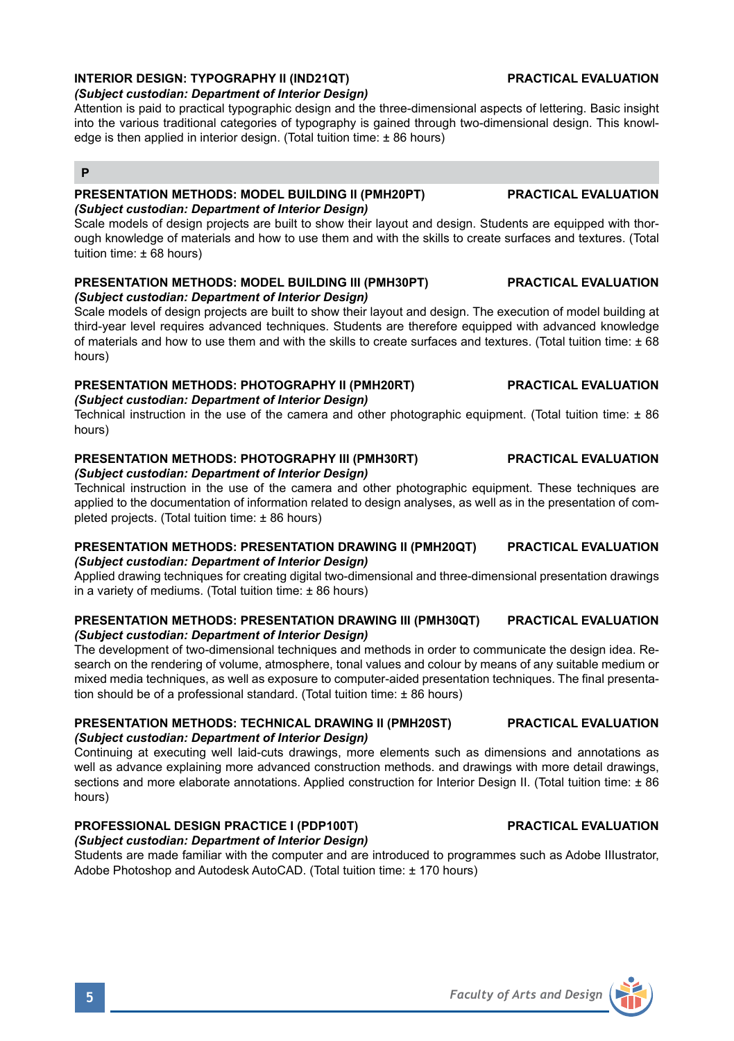# **INTERIOR DESIGN: TYPOGRAPHY II (IND21QT) PRACTICAL EVALUATION**

### *(Subject custodian: Department of Interior Design)*

Attention is paid to practical typographic design and the three-dimensional aspects of lettering. Basic insight into the various traditional categories of typography is gained through two-dimensional design. This knowledge is then applied in interior design. (Total tuition time: ± 86 hours)

# **P**

### **PRESENTATION METHODS: MODEL BUILDING II (PMH20PT) PRACTICAL EVALUATION** *(Subject custodian: Department of Interior Design)*

Scale models of design projects are built to show their layout and design. Students are equipped with thorough knowledge of materials and how to use them and with the skills to create surfaces and textures. (Total tuition time: ± 68 hours)

### **PRESENTATION METHODS: MODEL BUILDING III (PMH30PT) PRACTICAL EVALUATION** *(Subject custodian: Department of Interior Design)*

Scale models of design projects are built to show their layout and design. The execution of model building at third-year level requires advanced techniques. Students are therefore equipped with advanced knowledge of materials and how to use them and with the skills to create surfaces and textures. (Total tuition time: ± 68 hours)

# **PRESENTATION METHODS: PHOTOGRAPHY II (PMH20RT) PRACTICAL EVALUATION**

# *(Subject custodian: Department of Interior Design)*

Technical instruction in the use of the camera and other photographic equipment. (Total tuition time: ± 86 hours)

# **PRESENTATION METHODS: PHOTOGRAPHY III (PMH30RT) PRACTICAL EVALUATION**

### *(Subject custodian: Department of Interior Design)*

Technical instruction in the use of the camera and other photographic equipment. These techniques are applied to the documentation of information related to design analyses, as well as in the presentation of completed projects. (Total tuition time: ± 86 hours)

### **PRESENTATION METHODS: PRESENTATION DRAWING II (PMH20QT) PRACTICAL EVALUATION** *(Subject custodian: Department of Interior Design)*

Applied drawing techniques for creating digital two-dimensional and three-dimensional presentation drawings in a variety of mediums. (Total tuition time: ± 86 hours)

### **PRESENTATION METHODS: PRESENTATION DRAWING III (PMH30QT) PRACTICAL EVALUATION** *(Subject custodian: Department of Interior Design)*

The development of two-dimensional techniques and methods in order to communicate the design idea. Research on the rendering of volume, atmosphere, tonal values and colour by means of any suitable medium or mixed media techniques, as well as exposure to computer-aided presentation techniques. The final presentation should be of a professional standard. (Total tuition time: ± 86 hours)

# **PRESENTATION METHODS: TECHNICAL DRAWING II (PMH20ST) PRACTICAL EVALUATION** *(Subject custodian: Department of Interior Design)*

Continuing at executing well laid-cuts drawings, more elements such as dimensions and annotations as well as advance explaining more advanced construction methods. and drawings with more detail drawings, sections and more elaborate annotations. Applied construction for Interior Design II. (Total tuition time: ± 86 hours)

# **PROFESSIONAL DESIGN PRACTICE I (PDP100T) PRACTICAL EVALUATION**

*(Subject custodian: Department of Interior Design)* Students are made familiar with the computer and are introduced to programmes such as Adobe IIIustrator, Adobe Photoshop and Autodesk AutoCAD. (Total tuition time: ± 170 hours)